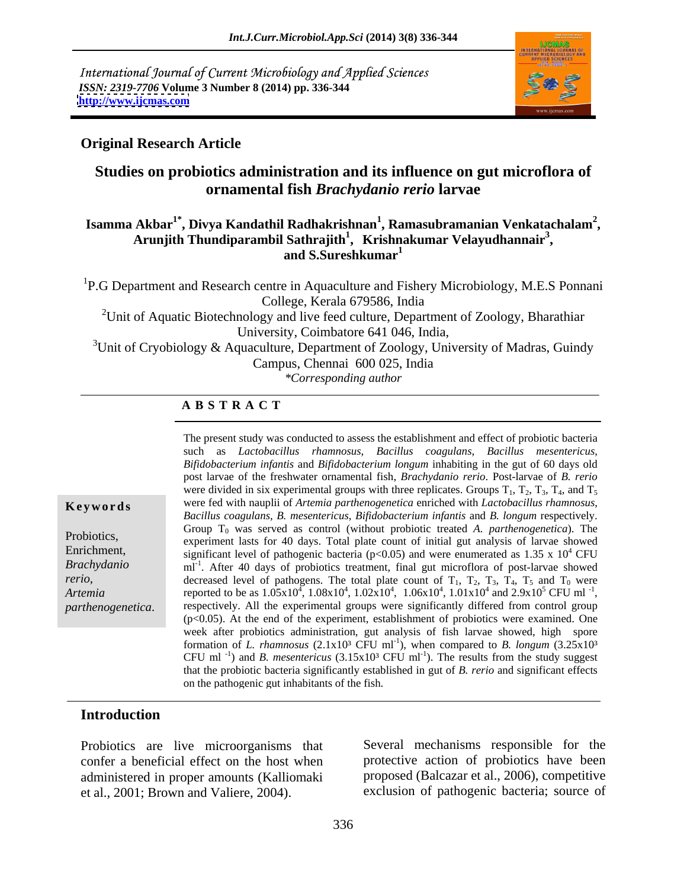International Journal of Current Microbiology and Applied Sciences *ISSN: 2319-7706* **Volume 3 Number 8 (2014) pp. 336-344 <http://www.ijcmas.com>**



#### **Original Research Article**

# **Studies on probiotics administration and its influence on gut microflora of ornamental fish** *Brachydanio rerio* **larvae**

#### **Isamma Akbar1\* , Divya Kandathil Radhakrishnan<sup>1</sup> , Ramasubramanian Venkatachalam<sup>2</sup>** Akbar<sup>1</sup>°, Divya Kandathil Radhakrishnan<sup>1</sup>, Ramasubramanian Venkatachalam<sup>2</sup>,<br>Arunjith Thundiparambil Sathrajith<sup>1</sup>, Krishnakumar Velayudhannair<sup>3</sup>, **, and S.Sureshkumar<sup>1</sup>**

<sup>1</sup>P.G Department and Research centre in Aquaculture and Fishery Microbiology, M.E.S Ponnani College, Kerala 679586, India

<sup>2</sup>Unit of Aquatic Biotechnology and live feed culture, Department of Zoology, Bharathiar University, Coimbatore 641 046, India,

<sup>3</sup>Unit of Cryobiology & Aquaculture, Department of Zoology, University of Madras, Guindy Campus, Chennai 600 025, India

*\*Corresponding author* 

#### **A B S T R A C T**

*rerio*,

**Key words** were fed with nauplii of *Artemia parthenogenetica* enriched with *Lactobacillus rhamnosus*, Probiotics,<br>
experiment lasts for 40 days. Total plate count of initial gut analysis of larvae showed Enrichment, significant level of pathogenic bacteria  $(p<0.05)$  and were enumerated as  $1.35 \times 10^4$  CFU *Brachydanio*  ml-1 . After 40 days of probiotics treatment, final gut microflora of post-larvae showed *Artemia* reported to be as  $1.05x10^4$ ,  $1.08x10^4$ ,  $1.02x10^4$ ,  $1.06x10^4$ ,  $1.01x10^4$  and  $2.9x10^5$  CFU ml<sup>-1</sup>, The present study was conducted to assess the establishment and effect of probiotic bacteria<br>
such as *Lactobactium infanits* and *Bifidobacterium infanits* and *Bifidobacterium infanits* and *Bifidobacterium infanits* an such as *Lactobacillus rhamnosus*, *Bacillus coagulans*, *Bacillus mesentericus*, *Bifidobacterium infantis* and *Bifidobacterium longum* inhabiting in the gut of 60 days old post larvae of the freshwater ornamental fish, *Brachydanio rerio*. Post-larvae of *B. rerio* were divided in six experimental groups with three replicates. Groups  $T_1$ ,  $T_2$ ,  $T_3$ ,  $T_4$ , and  $T_5$ *Bacillus coagulans*, *B. mesentericus*, *Bifidobacterium infantis* and *B. longum* respectively. Group  $T_0$  was served as control (without probiotic treated *A. parthenogenetica*). The <sup>4</sup> CFU decreased level of pathogens. The total plate count of  $T_1$ ,  $T_2$ ,  $T_3$ ,  $T_4$ ,  $T_5$  and  $T_0$  were  $^{4}$  and 2.0  $\frac{10^{5}}{\text{C}}$  CEI ml<sup>-1</sup> and  $2.9x10^5$  CFU ml<sup>-1</sup>,  $^5$  CFU ml<sup>-1</sup>, reported to be as  $1.05x10^4$ ,  $1.08x10^4$ ,  $1.02x10^4$ ,  $1.06x10^4$ ,  $1.01x10^4$  and  $2.9x10^5$  CFU ml<sup>-1</sup>, respectively. All the experimental groups were significantly differed from control group  $(p<0.05)$ . At the end of the experiment, establishment of probiotics were examined. One week after probiotics administration, gut analysis of fish larvae showed, high spore formation of *L. rhamnosus* (2.1x10<sup>3</sup> CFU ml<sup>-1</sup>), when compared to *B. longum* (3.25x10<sup>3</sup>) CFU ml<sup>-1</sup>) and *B. mesentericus* (3.15x10<sup>3</sup> CFU ml<sup>-1</sup>). The results from the study suggest ). The results from the study suggest that the probiotic bacteria significantly established in gut of *B. rerio* and significant effects on the pathogenic gut inhabitants of the fish.

#### **Introduction**

Probiotics are live microorganisms that confer a beneficial effect on the host when administered in proper amounts (Kalliomaki et al., 2001; Brown and Valiere, 2004).

Several mechanisms responsible for the protective action of probiotics have been proposed (Balcazar et al., 2006), competitive exclusion of pathogenic bacteria; source of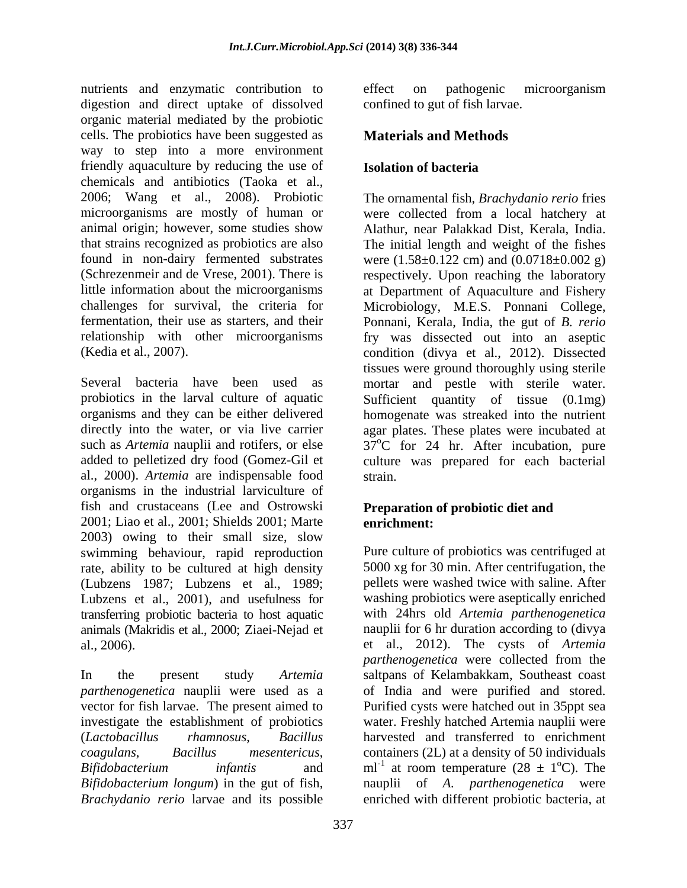nutrients and enzymatic contribution to effect on pathogenic microorganism digestion and direct uptake of dissolved organic material mediated by the probiotic cells. The probiotics have been suggested as way to step into a more environment friendly aquaculture by reducing the use of **Isolation of bacteria** chemicals and antibiotics (Taoka et al., 2006; Wang et al., 2008). Probiotic The ornamental fish, *Brachydanio rerio* fries microorganisms are mostly of human or were collected from a local hatchery at animal origin; however, some studies show that strains recognized as probiotics are also The initial length and weight of the fishes found in non-dairy fermented substrates were (1.58±0.122 cm) and (0.0718±0.002 g) (Schrezenmeir and de Vrese, 2001). There is respectively. Upon reaching the laboratory little information about the microorganisms at Department of Aquaculture and Fishery challenges for survival, the criteria for Microbiology, M.E.S. Ponnani College, fermentation, their use as starters, and their Ponnani, Kerala, India, the gut of *B. rerio* relationship with other microorganisms fry was dissected out into an aseptic

Several bacteria have been used as mortar and pestle with sterile water. probiotics in the larval culture of aquatic Sufficient quantity of tissue (0.1mg) organisms and they can be either delivered homogenate was streaked into the nutrient directly into the water, or via live carrier agar plates. These plates were incubated at such as *Artemia* nauplii and rotifers, or else  $37^{\circ}$ C for 24 hr. After incubation, pure added to pelletized dry food (Gomez-Gil et culture was prepared for each bacterial al., 2000). *Artemia* are indispensable food organisms in the industrial larviculture of fish and crustaceans (Lee and Ostrowski 2001; Liao et al., 2001; Shields 2001; Marte 2003) owing to their small size, slow swimming behaviour, rapid reproduction rate, ability to be cultured at high density (Lubzens 1987; Lubzens et al., 1989; Lubzens et al., 2001), and usefulness for washing probiotics were aseptically enriched transferring probiotic bacteria to host aquatic animals (Makridis et al., 2000; Ziaei-Nejad et al., 2006). et al., 2012). The cysts of *Artemia* 

effect on pathogenic microorganism confined to gut of fish larvae.

# **Materials and Methods**

# **Isolation of bacteria**

(Kedia et al., 2007). condition (divya et al., 2012). Dissected Alathur, near Palakkad Dist, Kerala, India. tissues were ground thoroughly using sterile strain.

#### **Preparation of probiotic diet and enrichment:**

In the present study *Artemia*  saltpans of Kelambakkam, Southeast coast *parthenogenetica* nauplii were used as a of India and were purified and stored. vector for fish larvae. The present aimed to Purified cysts were hatched out in 35ppt sea investigate the establishment of probiotics water. Freshly hatched Artemia nauplii were (*Lactobacillus rhamnosus*, *Bacillus*  harvested and transferred to enrichment *coagulans*, *Bacillus mesentericus*, containers (2L) at a density of 50 individuals *Bifidobacterium infantis* and  $ml^{-1}$  at room temperature (28  $\pm$  1<sup>o</sup>C). The *Bifidobacterium longum*) in the gut of fish, nauplii of *A. parthenogenetica* were *Brachydanio rerio* larvae and its possible enriched with different probiotic bacteria, atPure culture of probiotics was centrifuged at 5000 xg for 30 min. After centrifugation, the pellets were washed twice with saline. After with 24hrs old *Artemia parthenogenetica* nauplii for 6 hr duration according to (divya *parthenogenetica* were collected from the  $^{\circ}$ C). The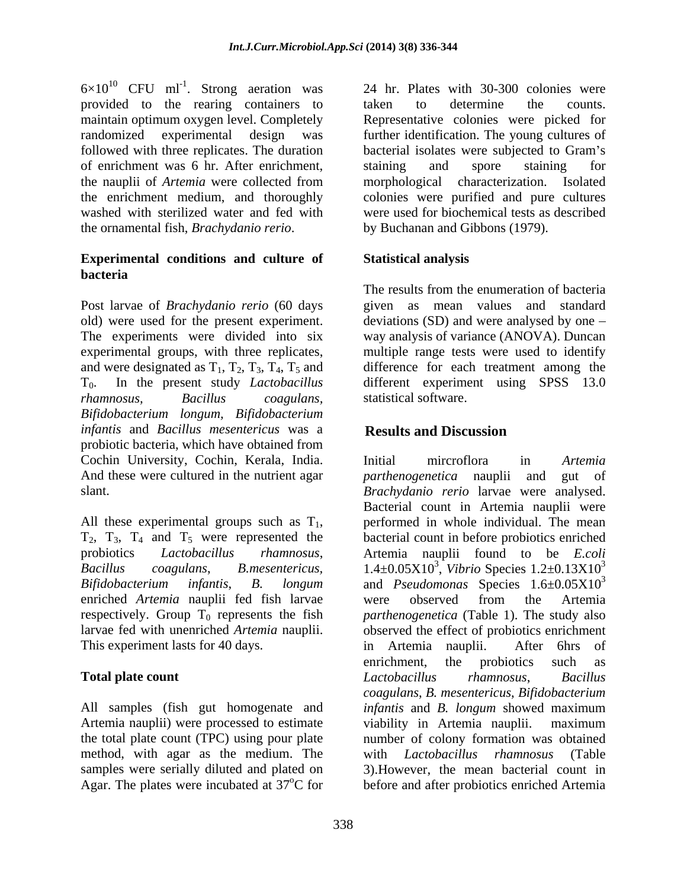$6\times10^{10}$  CFU ml<sup>-1</sup>. Strong aeration was provided to the rearing containers to maintain optimum oxygen level. Completely followed with three replicates. The duration bacterial isolates were subjected to Gram's of enrichment was 6 hr. After enrichment, the ornamental fish, *Brachydanio rerio*.

## **Experimental conditions and culture of bacteria**

Post larvae of *Brachydanio rerio* (60 days old) were used for the present experiment. deviations(SD) and were analysed by one The experiments were divided into six way analysis of variance (ANOVA). Duncan experimental groups, with three replicates, multiple range tests were used to identify and were designated as  $T_1$ ,  $T_2$ ,  $T_3$ ,  $T_4$ ,  $T_5$  and  $T_0$ . In the present study *Lactobacillus* T0. In the present study *Lactobacillus*  different experiment using SPSS 13.0 *rhamnosus, Bacillus coagulans, Bifidobacterium longum, Bifidobacterium infantis* and *Bacillus mesentericus* was a probiotic bacteria, which have obtained from Cochin University, Cochin, Kerala, India. And these were cultured in the nutrient agar *parthenogenetica* nauplii and gut of

enriched *Artemia* nauplii fed fish larvae respectively. Group  $T_0$  represents the fish larvae fed with unenriched *Artemia* nauplii. This experiment lasts for 40 days. <br>in Artemia nauplii. After 6hrs of

Artemia nauplii) were processed to estimate viability in Artemia nauplii. maximum method, with agar as the medium. The with *Lactobacillus rhamnosus* (Table Agar. The plates were incubated at 37<sup>o</sup>C for before and after probiotics enriched Artemia

. Strong aeration was 24 hr. Plates with 30-300 colonies were randomized experimental design was further identification. The young cultures of the nauplii of *Artemia* were collected from morphological characterization. Isolated the enrichment medium, and thoroughly colonies were purified and pure cultures washed with sterilized water and fed with were used for biochemical tests as described taken to determine the counts. Representative colonies were picked for bacterial isolates were subjected to Gram's staining and spore staining for by Buchanan and Gibbons (1979).

# **Statistical analysis**

The results from the enumeration of bacteria given as mean values and standard difference for each treatment among the statistical software.

# **Results and Discussion**

slant. *Brachydanio rerio* larvae were analysed. All these experimental groups such as  $T_1$ , performed in whole individual. The mean  $T_2$ ,  $T_3$ ,  $T_4$  and  $T_5$  were represented the bacterial count in before probiotics enriched probiotics *Lactobacillus rhamnosus*, Artemia nauplii found to be *E.coli Bacillus coagulans*, *B.mesentericus,*  1.4±0.05X10<sup>3</sup> , *Vibrio* Species 1.2±0.13X10 *Bifidobacterium infantis*, *B. longum* and *Pseudomonas* Species 1.6±0.05X10 larvae fed with unenriched *Artemia* nauplii. observed the effect of probiotics enrichment **Total plate count** Count Contact December 2 Lactobacillus hammosus, Bacillus All samples (fish gut homogenate and *infantis* and *B. longum* showed maximum the total plate count (TPC) using pour plate number of colony formation was obtained samples were serially diluted and plated on 3).However, the mean bacterial count in Initial mircroflora in *Artemia parthenogenetica* nauplii and Bacterial count in Artemia nauplii were performed in whole individual. The mean bacterial count in before probiotics enriched 3 3 were observed from the Artemia *parthenogenetica* (Table 1). The study also in Artemia nauplii. After 6hrs of enrichment, the probiotics such as *Lactobacillus rhamnosus*, *Bacillus coagulans*, *B. mesentericus*, *Bifidobacterium*  viability in Artemia nauplii. maximum with *Lactobacillus rhamnosus* (Table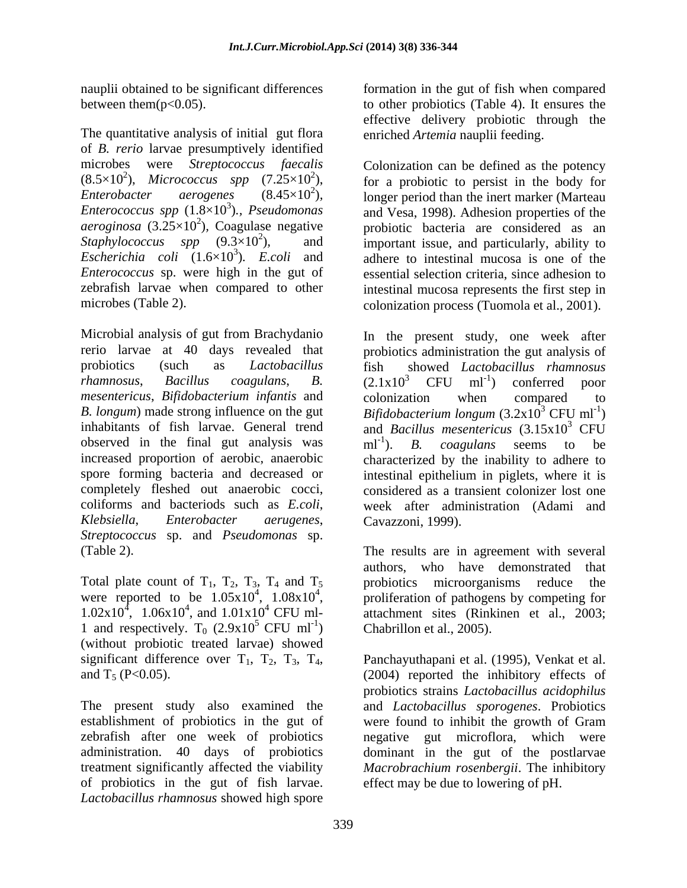The quantitative analysis of initial gut flora of *B. rerio* larvae presumptively identified  $(8.5\times10^2)$ , Micrococcus spp  $(7.25\times10^2)$ ,<br>Enterobacter aerogenes  $(8.45\times10^2)$ , *Escherichia coli*  $(1.6 \times 10^3)$ . *E.coli* and *Enterococcus* sp. were high in the gut of

*mesentericus*, *Bifidobacterium infantis* and observed in the final gut analysis was  $\text{mI}^{-1}$ ). B. coagulans seems to be *Streptococcus* sp. and *Pseudomonas* sp.

Total plate count of  $T_1$ ,  $T_2$ ,  $T_3$ ,  $T_4$  and  $T_5$  probiotics microorganisms reduce the were reported to be  $1.05x10^4$ ,  $1.08x10^4$ ,  $1.02 \times 10^4$ ,  $1.06 \times 10^4$ , and  $1.01 \times 10^4$  CFU ml-1 and respectively. T<sub>0</sub>  $(2.9x10^5$  CFU ml<sup>-1</sup>) (without probiotic treated larvae) showed

zebrafish after one week of probiotics of probiotics in the gut of fish larvae. *Lactobacillus rhamnosus* showed high spore

nauplii obtained to be significant differences formation in the gut of fish when compared between them(p<0.05). to other probiotics (Table 4). It ensures the effective delivery probiotic through the enriched *Artemia* nauplii feeding.

microbes were *Streptococcus faecalis* Colonization can be defined as the potency ), *Micrococcus spp*  $(7.25 \times 10^2)$ , for a probiotic to persist in the body for *Enterobacter aerogenes*  $(8.45\times10^2)$ , longer period than the inert marker (Marteau *Enterobacter aerogenes*  $(8.45\times10^2)$ , longer period than the inert marker (Marteau anterococcus spp  $(1.8\times10^3)$ ., *Pseudomonas* and Vesa, 1998). Adhesion properties of the 3 )*., Pseudomonas*  and Vesa, 1998). Adhesion properties of the  $aerosinosa$  (3.25 $\times$ 10<sup>2</sup>), Coagulase negative probiotic bacteria are considered as an *Staphylococcus spp*  $(9.3 \times 10^2)$ , and important issue, and particularly, ability to )*. E.coli* and adhere to intestinal mucosa is one of the zebrafish larvae when compared to other intestinal mucosa represents the first step in microbes (Table 2). colonization process (Tuomola et al., 2001). essential selection criteria, since adhesion to

Microbial analysis of gut from Brachydanio In the present study, one week after rerio larvae at 40 days revealed that probiotics administration the gut analysis of probiotics (such as *Lactobacillus*  fish showed *Lactobacillus rhamnosus rhamnosus*, *Bacillus coagulans*, *B. B. longum*) made strong influence on the gut *Bifidobacterium longum* (3.2x10 inhabitants of fish larvae. General trend and *Bacillus mesentericus* (3.15x10<sup>3</sup> CFU increased proportion of aerobic, anaerobic characterized by the inability to adhere to spore forming bacteria and decreased or intestinal epithelium in piglets, where it is completely fleshed out anaerobic cocci, considered as a transient colonizer lost one coliforms and bacteriods such as *E.coli*, week after administration (Adami and *Klebsiella*, *Enterobacter aerugenes*,  $(2.1x10<sup>3</sup>$  CFU ml<sup>-1</sup>) conferred poor ) conferred poor colonization when compared to  $3$  CFU ml<sup>-1</sup>)  $)$  $3$  CFU  $ml^{-1}$ ). B. coagulans seems to be ). *B. coagulans* seems to be Cavazzoni, 1999).

(Table 2). The results are in agreement with several <sup>4</sup>, 1.08x10<sup>4</sup>, proliferation of pathogens by competing for  $\mu$ , 1.06x10<sup>4</sup>, and 1.01x10<sup>4</sup> CFU ml-<br>attachment sites (Rinkinen et al., 2003;  $5$  CFU ml<sup>-1</sup>) Chabrillon et al., 2005). ) Chabrillon et al., 2005). authors, who have demonstrated that probiotics microorganisms reduce

significant difference over  $T_1$ ,  $T_2$ ,  $T_3$ ,  $T_4$ , Panchayuthapani et al. (1995), Venkat et al.<br>(2004) reported the inhibitory effects of The present study also examined the and *Lactobacillus sporogenes*. Probiotics establishment of probiotics in the gut of were found to inhibit the growth of Gram administration. 40 days of probiotics dominant in the gut of the postlarvae treatment significantly affected the viability *Macrobrachium rosenbergii*. The inhibitory Panchayuthapani et al. (1995), Venkat et al. (2004) reported the inhibitory effects of probiotics strains *Lactobacillus acidophilus* negative gut microflora, which were effect may be due to lowering of pH.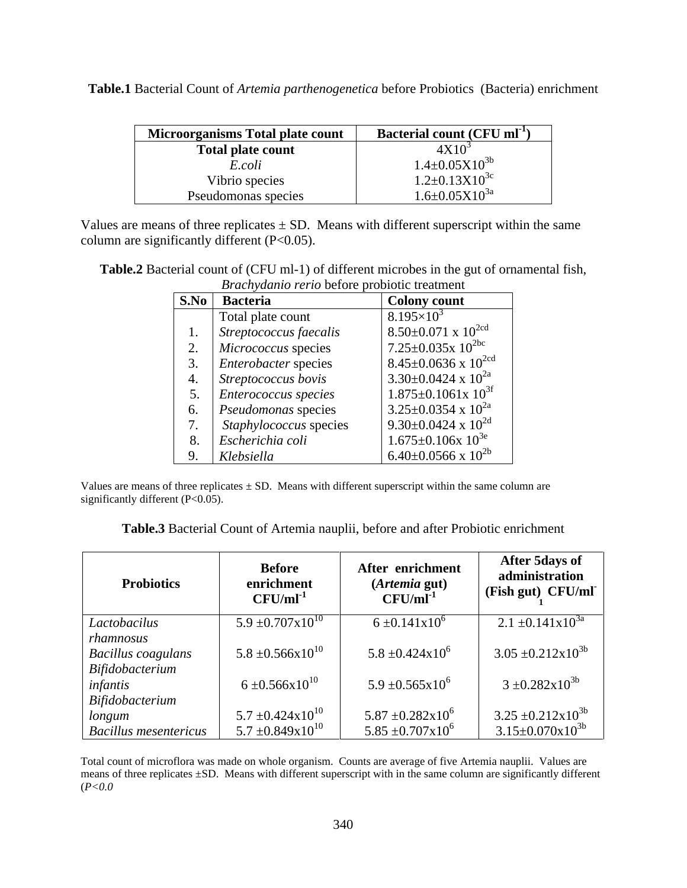| <b>Microorganisms Total plate count</b> | <b>Bacterial count (CFU ml<sup>-1</sup>)</b> |
|-----------------------------------------|----------------------------------------------|
| <b>Total plate count</b>                | 4X10                                         |
| E.coll                                  | $4\pm0.05X10^{36}$                           |
| Vibrio species                          | $1.2 \pm 0.13 \times 10^{3c}$                |
| Pseudomonas species                     | $4.6 \pm 0.05 \times 10^{3a}$                |

**Table.1** Bacterial Count of *Artemia parthenogenetica* before Probiotics (Bacteria) enrichment

Values are means of three replicates  $\pm$  SD. Means with different superscript within the same column are significantly different (P<0.05).

**Table.2** Bacterial count of (CFU ml-1) of different microbes in the gut of ornamental fish, *Brachydanio rerio* before probiotic treatment

|            | <i>Brachyddia Terio belole</i> probleme deathleth |                                            |
|------------|---------------------------------------------------|--------------------------------------------|
|            | S.No Bacteria                                     | <b>Colony count</b>                        |
|            | Total plate count                                 | $8.195\times10^{3}$                        |
|            | Streptococcus faecalis                            | 8.50±0.071 x $10^{2cd}$                    |
| $\angle$ . | Micrococcus species                               | $7.25 \pm 0.035 \times 10^{2bc}$           |
|            | <i>Enterobacter</i> species                       | $18.45 \pm 0.0636 \times 10^{2 \text{cd}}$ |
|            | Streptococcus bovis                               | $3.30\pm0.0424 \times 10^{2a}$             |
|            | <i>Enterococcus species</i>                       | $1.875 \pm 0.1061 \times 10^{3t}$          |
| 6.         | <i>Pseudomonas</i> species                        | $3.25 \pm 0.0354 \times 10^{2a}$           |
|            | <i>Staphylococcus</i> species                     | 9.30±0.0424 x $10^{2d}$                    |
|            | 8. Escherichia coli                               | $1.675 \pm 0.106x$ $10^{3e}$               |
|            | Klebsiella                                        | 6.40±0.0566 x $10^{2b}$                    |

Values are means of three replicates  $\pm$  SD. Means with different superscript within the same column are significantly different (P<0.05).

| $\cdots$<br><b>Table.3</b><br><b>3</b> Bacterial<br>r Probiotic enrichment<br>n nauplii, before and after<br>. Artemis<br>ıl Count of Arter |  |
|---------------------------------------------------------------------------------------------------------------------------------------------|--|
|                                                                                                                                             |  |

| <b>Probiotics</b>            | <b>Before</b><br>enrichment<br>$CFU/ml^{-1}$ | After enrichment<br>(Artemia gut)<br>$CFU/ml^{-1}$ | <b>After 5days of</b><br>administration<br>(Fish gut) CFU/ml |
|------------------------------|----------------------------------------------|----------------------------------------------------|--------------------------------------------------------------|
| Lactobacilus                 | $5.9 \pm 0.707 \times 10^{10}$               | $6 \pm 0.141 \times 10^{6}$                        | $2.1 \pm 0.141 \times 10^{3a}$                               |
| rhamnosus                    |                                              |                                                    |                                                              |
| Bacillus coagulans           | $5.8 \pm 0.566 \times 10^{10}$               | $5.8 \pm 0.424 \times 10^6$                        | $3.05 \pm 0.212 \times 10^{3b}$                              |
| Bifidobacterium              |                                              |                                                    |                                                              |
| infantis                     | $6 \pm 0.566 \times 10^{10}$                 | $5.9 \pm 0.565 \times 10^6$                        | $3 \pm 0.282 \times 10^{3b}$                                 |
| Bifidobacterium              |                                              |                                                    |                                                              |
| longum                       | $5.7 \pm 0.424 \times 10^{10}$               | $5.87 \pm 0.282 \times 10^6$                       | $3.25 \pm 0.212 \times 10^{3b}$                              |
| <b>Bacillus mesentericus</b> | $5.7 \pm 0.849 \times 10^{10}$               | $5.85 \pm 0.707 \times 10^6$                       | $3.15 \pm 0.070 \times 10^{3b}$                              |

Total count of microflora was made on whole organism. Counts are average of five Artemia nauplii. Values are means of three replicates ±SD. Means with different superscript with in the same column are significantly different (*P<0.0*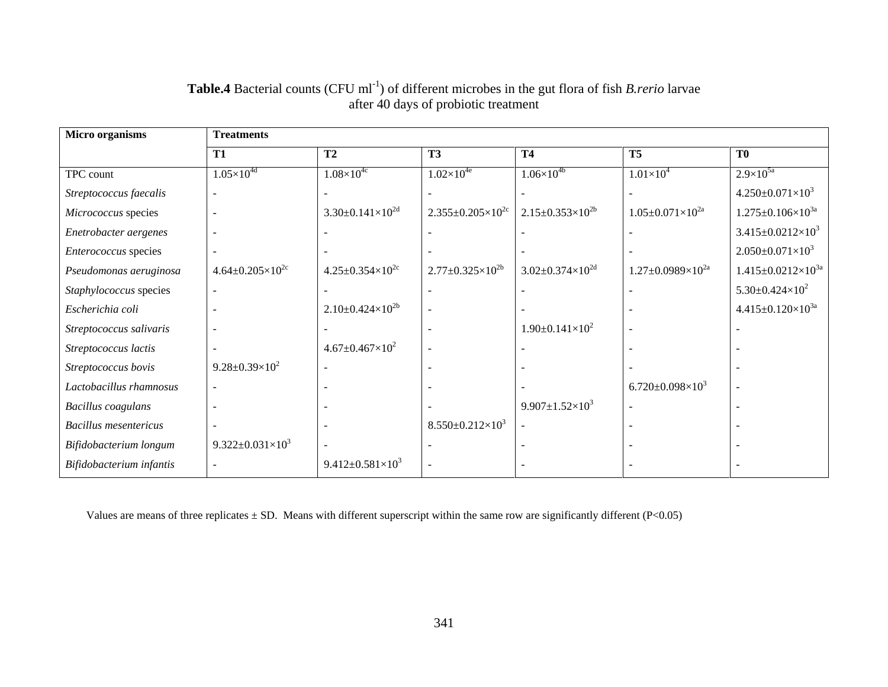| <b>Micro organisms</b>       | <b>Treatments</b>               |                                 |                                 |                                                                    |                                  |                                   |
|------------------------------|---------------------------------|---------------------------------|---------------------------------|--------------------------------------------------------------------|----------------------------------|-----------------------------------|
|                              | T1                              | T2                              | T <sub>3</sub>                  | <b>T4</b>                                                          | <b>T5</b>                        | T0                                |
| TPC count                    | $1.05\times10^{4d}$             | $1.08\times10^{4c}$             | $1.02\times10^{4e}$             | $1.06\times10^{4b}$                                                | $1.01\times10^{4}$               | $2.9\times10^{5a}$                |
| Streptococcus faecalis       |                                 |                                 |                                 |                                                                    |                                  | $4.250 \pm 0.071 \times 10^3$     |
| Micrococcus species          |                                 | $3.30 \pm 0.141 \times 10^{2d}$ |                                 | $2.355 \pm 0.205 \times 10^{2c}$ 2.15 $\pm$ 0.353 $\times 10^{2b}$ | $1.05 \pm 0.071 \times 10^{2a}$  | $1.275 \pm 0.106 \times 10^{3a}$  |
| Enetrobacter aergenes        |                                 |                                 |                                 |                                                                    |                                  | $3.415 \pm 0.0212 \times 10^3$    |
| Enterococcus species         |                                 |                                 |                                 |                                                                    |                                  | $2.050 \pm 0.071 \times 10^3$     |
| Pseudomonas aeruginosa       | $4.64 \pm 0.205 \times 10^{2c}$ | $4.25 \pm 0.354 \times 10^{2c}$ | $2.77 \pm 0.325 \times 10^{2b}$ | $3.02 \pm 0.374 \times 10^{2d}$                                    | $1.27 \pm 0.0989 \times 10^{2a}$ | $1.415 \pm 0.0212 \times 10^{3a}$ |
| Staphylococcus species       |                                 |                                 |                                 |                                                                    |                                  | $5.30 \pm 0.424 \times 10^2$      |
| Escherichia coli             |                                 | $2.10\pm0.424\times10^{2b}$     |                                 |                                                                    |                                  | $4.415 \pm 0.120 \times 10^{3a}$  |
| Streptococcus salivaris      |                                 |                                 |                                 | $1.90 \pm 0.141 \times 10^2$                                       |                                  |                                   |
| Streptococcus lactis         |                                 | $4.67 \pm 0.467 \times 10^{2}$  |                                 |                                                                    |                                  |                                   |
| Streptococcus bovis          | 9.28±0.39×10 <sup>2</sup>       |                                 |                                 |                                                                    |                                  |                                   |
| Lactobacillus rhamnosus      |                                 |                                 |                                 |                                                                    | 6.720±0.098×10 <sup>3</sup>      |                                   |
| Bacillus coagulans           |                                 |                                 |                                 | 9.907±1.52×10 <sup>3</sup>                                         |                                  |                                   |
| <b>Bacillus mesentericus</b> |                                 |                                 | $8.550 \pm 0.212 \times 10^3$   |                                                                    |                                  |                                   |
| Bifidobacterium longum       | 9.322±0.031×10 <sup>3</sup>     |                                 |                                 |                                                                    |                                  |                                   |
| Bifidobacterium infantis     |                                 | 9.412±0.581×10 <sup>3</sup>     |                                 |                                                                    |                                  |                                   |

#### **Table.4** Bacterial counts (CFU ml<sup>-1</sup>) of different microbes in the gut flora of fish *B.rerio* larvae after 40 days of probiotic treatment

Values are means of three replicates  $\pm$  SD. Means with different superscript within the same row are significantly different (P<0.05)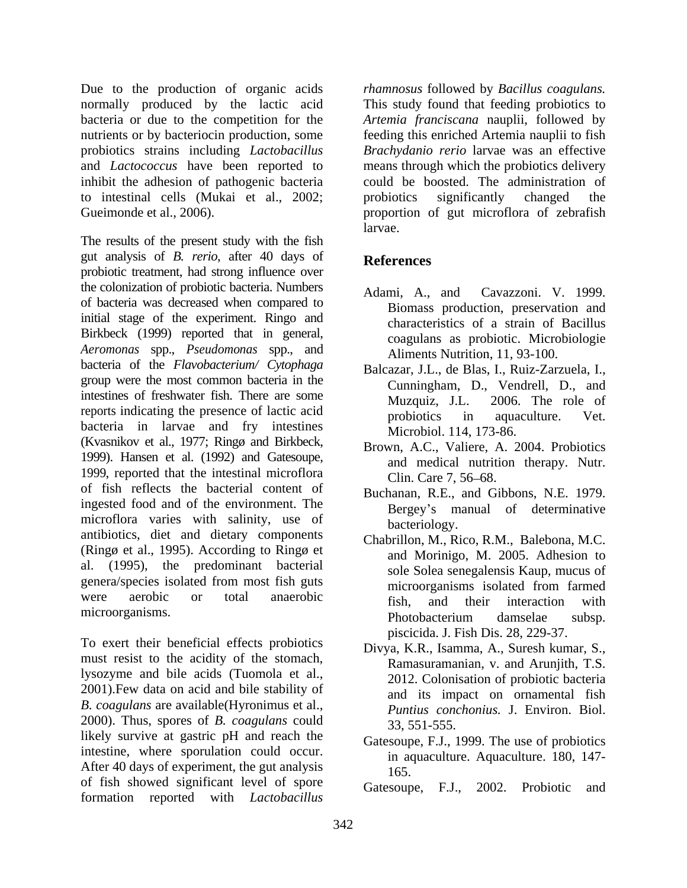Due to the production of organic acids *rhamnosus* followed by *Bacillus coagulans.* normally produced by the lactic acid bacteria or due to the competition for the *Artemia franciscana* nauplii, followed by nutrients or by bacteriocin production, some feeding this enriched Artemia nauplii to fish probiotics strains including *Lactobacillus Brachydanio rerio* larvae was an effective and *Lactococcus* have been reported to means through which the probiotics delivery inhibit the adhesion of pathogenic bacteria could be boosted. The administration of to intestinal cells (Mukai et al., 2002;

The results of the present study with the fish gut analysis of *B. rerio*, after 40 days of probiotic treatment, had strong influence over the colonization of probiotic bacteria. Numbers of bacteria was decreased when compared to initial stage of the experiment. Ringo and Birkbeck (1999) reported that in general, *Aeromonas* spp., *Pseudomonas* spp., and bacteria of the *Flavobacterium/ Cytophaga* group were the most common bacteria in the intestines of freshwater fish. There are some<br>Muzquiz, J.L. 2006. The role of reports indicating the presence of lactic acid probiotics in aquaculture. Vet. bacteria in larvae and fry intestines (Kvasnikov et al., 1977; Ringø and Birkbeck, 1999). Hansen et al. (1992) and Gatesoupe, 1999, reported that the intestinal microflora Clin. Care 7, 56–68. of fish reflects the bacterial content of ingested food and of the environment. The microflora varies with salinity, use of bacteriology. antibiotics, diet and dietary components (Ringø et al., 1995). According to Ringø et al. (1995), the predominant bacterial genera/species isolated from most fish guts<br>microorganisms isolated from farmed were aerobic or total anaerobic the state of their interaction with

To exert their beneficial effects probiotics must resist to the acidity of the stomach, lysozyme and bile acids (Tuomola et al., 2001).Few data on acid and bile stability of *B. coagulans* are available(Hyronimus et al., 2000). Thus, spores of *B. coagulans* could likely survive at gastric pH and reach the intestine, where sporulation could occur. After 40 days of experiment, the gut analysis 165. of fish showed significant level of spore<br>Gatesoupe, F.J., 2002. Probiotic and formation reported with *Lactobacillus* 

Gueimonde et al., 2006). proportion of gut microflora of zebrafish This study found that feeding probiotics to probiotics significantly changed the larvae.

## **References**

- Adami, A., and Cavazzoni. V. 1999. Biomass production, preservation and characteristics of a strain of Bacillus coagulans as probiotic. Microbiologie Aliments Nutrition, 11, 93-100.
- Balcazar, J.L., de Blas, I., Ruiz-Zarzuela, I., Cunningham, D., Vendrell, D., and Muzquiz, J.L. 2006. The role of probiotics in aquaculture. Vet. Microbiol. 114, 173-86.
- Brown, A.C., Valiere, A. 2004. Probiotics and medical nutrition therapy. Nutr. Clin. Care 7, 56–68.
- Buchanan, R.E., and Gibbons, N.E. 1979. Bergey's manual of determinative bacteriology.
- were aerooic or total anaerooic fish, and their interaction with<br>microorganisms. Photobacterium damselae subsp. Chabrillon, M., Rico, R.M., Balebona, M.C. and Morinigo, M. 2005. Adhesion to sole Solea senegalensis Kaup, mucus of microorganisms isolated from farmed fish, and their interaction with Photobacterium damselae subsp. piscicida. J. Fish Dis. 28, 229-37.
	- Divya, K.R., Isamma, A., Suresh kumar, S., Ramasuramanian, v. and Arunjith, T.S. 2012. Colonisation of probiotic bacteria and its impact on ornamental fish *Puntius conchonius.* J. Environ. Biol. 33, 551-555.
	- Gatesoupe, F.J., 1999. The use of probiotics in aquaculture. Aquaculture. 180, 147- 165.
	- Gatesoupe, F.J., 2002.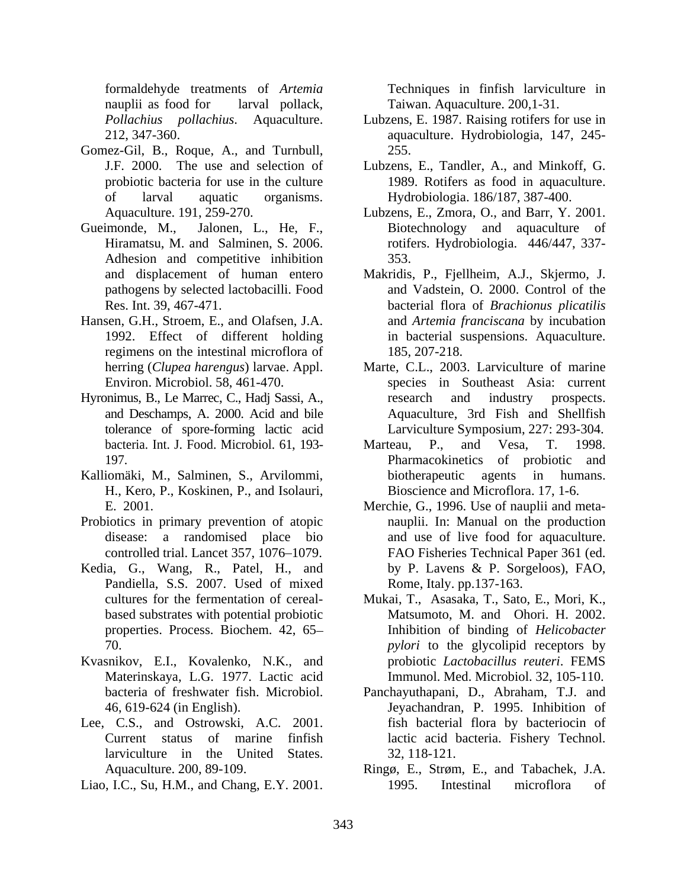nauplii as food for larval pollack, Taiwan. Aquaculture. 200,1-31.

- Gomez-Gil, B., Roque, A., and Turnbull, 255.
- Adhesion and competitive inhibition 353.
- Hansen, G.H., Stroem, E., and Olafsen, J.A. regimens on the intestinal microflora of 185, 207-218.
- Hyronimus, B., Le Marrec, C., Hadj Sassi, A., tolerance of spore-forming lactic acid Larviculture Symposium, 227: 293-304.
- Kalliomäki, M., Salminen, S., Arvilommi, H., Kero, P., Koskinen, P., and Isolauri,
- Probiotics in primary prevention of atopic
- Pandiella, S.S. 2007. Used of mixed based substrates with potential probiotic properties. Process. Biochem. 42, 65
- Kvasnikov, E.I., Kovalenko, N.K., and Materinskaya, L.G. 1977. Lactic acid Immunol. Med. Microbiol. 32, 105-110.
- Lee, C.S., and Ostrowski, A.C. 2001. larviculture in the United States. 32, 118-121.
- 

formaldehyde treatments of *Artemia* 

- *Pollachius pollachius*. Aquaculture. Lubzens, E. 1987. Raising rotifers for use in 212, 347-360. aquaculture. Hydrobiologia, 147, 245- 255.
- J.F. 2000. The use and selection of Lubzens, E., Tandler, A., and Minkoff, G. probiotic bacteria for use in the culture 1989. Rotifers as food in aquaculture. of larval aquatic organisms. Hydrobiologia. 186/187, 387-400.
- Aquaculture. 191, 259-270. Lubzens, E., Zmora, O., and Barr, Y. 2001. Gueimonde, M., Jalonen, L., He, F., Biotechnology and aquaculture of Hiramatsu, M. and Salminen, S. 2006. rotifers. Hydrobiologia. 446/447, 337-353.
	- and displacement of human entero Makridis, P., Fjellheim, A.J., Skjermo, J. pathogens by selected lactobacilli. Food and Vadstein, O. 2000. Control of the Res. Int. 39, 467-471. bacterial flora of *Brachionus plicatilis* 1992. Effect of different holding in bacterial suspensions. Aquaculture. and *Artemia franciscana* by incubation 185, 207-218.
	- herring (*Clupea harengus*) larvae. Appl. Marte, C.L., 2003. Larviculture of marine Environ. Microbiol. 58, 461-470. species in Southeast Asia: current and Deschamps, A. 2000. Acid and bile Aquaculture, 3rd Fish and Shellfish research and industry prospects.
	- bacteria. Int. J. Food. Microbiol. 61, 193-<br>
	Marteau, P., and Vesa, T. 1998. 197. Pharmacokinetics of probiotic and Marteau, P., and Vesa, T. 1998. Pharmacokinetics of probiotic and biotherapeutic agents in humans. Bioscience and Microflora. 17, 1-6.
- E. 2001. Merchie, G., 1996. Use of nauplii and meta disease: a randomised place bio and use of live food for aquaculture. controlled trial. Lancet 357, 1076 1079. FAO Fisheries Technical Paper 361 (ed. Kedia, G., Wang, R., Patel, H., and by P. Lavens & P. Sorgeloos), FAO, from<br>ability tensor of According the findite according to findite according to<br> $\sim 1.4$ . This is the small as following the main transmitter of the<br>small as following the small and Chang, E.Y. Example in the small and Cha nauplii. In: Manual on the production by P. Lavens & P. Sorgeloos), FAO, Rome, Italy. pp.137-163.
	- cultures for the fermentation of cereal- Mukai, T., Asasaka, T., Sato, E., Mori, K., 70. *pylori* to the glycolipid receptors by Matsumoto, M. and Ohori. H. 2002. Inhibition of binding of *Helicobacter*  probiotic *Lactobacillus reuteri*. FEMS
	- bacteria of freshwater fish. Microbiol. 46, 619-624 (in English). Current status of marine finfish lactic acid bacteria. Fishery Technol. Panchayuthapani, D., Abraham, T.J. and Jeyachandran, P. 1995. Inhibition of fish bacterial flora by bacteriocin of 32, 118-121.
	- Aquaculture. 200, 89-109. Ringø, E., Strøm, E., and Tabachek, J.A. 1995. Intestinal microflora of